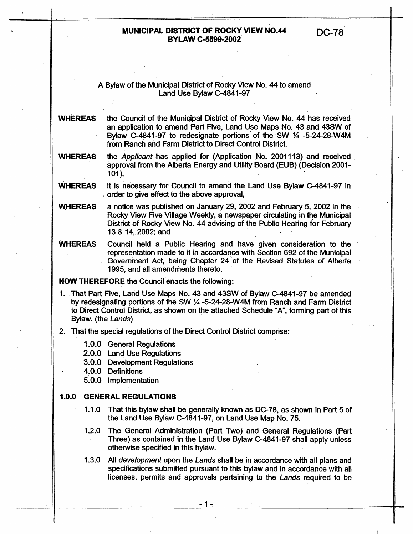## A Bylaw of the Municipal District of Rocky View No. 44 to amend Land Use Bylaw C-4841-97

**WHEREAS** the Council of the Municipal District of Rocky View No. 44 has received an application to amend Part Five, Land Use Maps No. 43 and 43SW of Bylaw C-4841-97 to redesignate portions of the SW % -5-24-28-W4M from Ranch and Farm District to Direct Control District,

the *Applicant* has applied for (Application No. 2001113) and received approval from the Alberta Energy and Utility Board (EUB) (Decision 2001-<br>101), **WHEREAS** 

it is necessary for Council to amend the Land Use Bylaw C-4841-97 in order to give effect to the above approval, **WHEREAS** 

**WHEREAS** a notice was published on January 29,2002 and February 5,2002 in the Rocky View Five Village Weekly, a newspaper circulating in the Municipal District of Rocky View No. 44 advising of the Public Hearing for February **13** *2%* 14,2002; and

Council held a Public Hearing and have given consideration to the representation made to it in accordance with Section 692 of the Municipal Government Act, being Chapter 24 of the Revised Statutes of Alberta 1995, and all amendments thereto. **WHEREAS** 

**NOW THEREFORE** the Council enacts the following:

- I. That Part Five, Land Use Maps No. 43 and 43SW of Bylaw C-4841-97 be amended by redesignating portions of the SW % -5-24-28-W4M from Ranch and Farm District to Direct Control District, as shown on the attached Schedule "A", forming part of this Bylaw. (the *Lands)*
- 2. That the special regulations of the Direct Control District comprise:
	- **1 .O.O** General Regulations
	- 2.0.0 Land Use Regulations

3.0.0 Development Regulations

4.0.0 Definitions

5.0.0 Implementation

#### **I .O.O GENERAL REGULATIONS**

- 1 .I **.O** That this bylaw shall be generally known as DC-78, as shown in Part 5 of the Land Use Bylaw C-4841-97, on Land Use Map No. 75.
- 1.2.0 The General Administration (Part Two) and General Regulations (Part Three) as contained in the Land Use Bylaw C.4841-97 shall apply unless otherwise specified in this bylaw.
- 1.3.0 All *development* upon the *Lands* shall be in accordance with all plans and specifications submitted pursuant to this bylaw and in accordance with all licenses, permits and approvals pertaining to the *Lands* required to be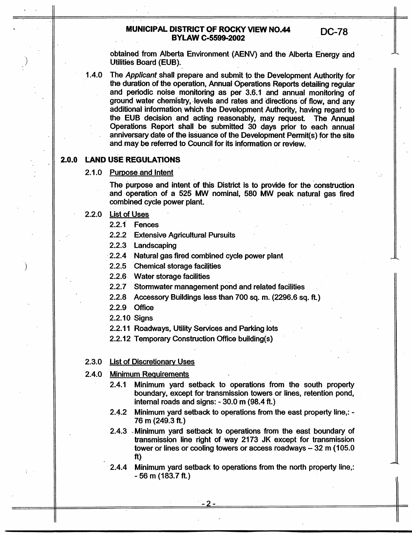obtained from Alberta Environment (AENV) and the Alberta Energy and Utilities Board (EUB).

The Applicant shall prepare and submit to the Development Authority for  $1.4.0$ the duration of the operation, Annual Operations Reports detailing regular and periodic noise monitoring as per 3.6.1 and annual monitoring of ground water chemistry, levels and rates and directions of flow, and any additional information which the Development Authority, having regard to the EUB decision and acting reasonably, may request. The Annual Operations Report shall be submitted 30 days prior to each annual anniversary date of the issuance of the Development Permit(s) for the site and may be referred to Council for its information or review.

# **2.0.0 LAND USE REGULATIONS**

## 2.1.0 Purpose and Intent

The purpose and intent of this District is to provide for the construction and operation of a 525 *Mw* nominal, 580 MW peak natural gas fired combined cycle power plant.

#### **2.2.0** List of Uses

2.2.1 Fences

2.2.2 Extensive Agricultural Pursuits

2.2.3 Landscaping

2.2.4 Natural gas fired combined cycle power plant

**2.2.5** Chemical storage facilities

2.2.6 Water storage facilities

2.2.7 Stormwater management pond and related facilities

- 2.2.8 Accessory Buildings less than 700 sq. m. (2296.6 sq. ft.)
- 2.2.9 Office
- 2.2.10 Signs
- **2.2.1** 1 Roadways, Utility Services and Parking lots
- 2.2.12 Temporary Construction *Office* building(s)
- 2.3.0 List of Discretionary Uses

#### 2.4.0 Minimum Requirements

- 2.4.1 Minimum yard setback to operations from the south property boundary, except for transmission towers or lines, retention pond, internal roads and signs: - 30.0 m (98.4 **ft.)**
- 2.4.2 Minimum yard setback to operations from the east property line,: 76 m (249.3 ft.)
- 2.4.3 -Minimum yard setback to operations from the east boundary of transmission line right of way 2173 JK except for transmission tower or lines or cooling towers or access roadways  $-32$  m (105.0) **ft)**
- 2.4.4 Minimum yard setback to operations from the north property line,: - 56 m (183.7 ft.)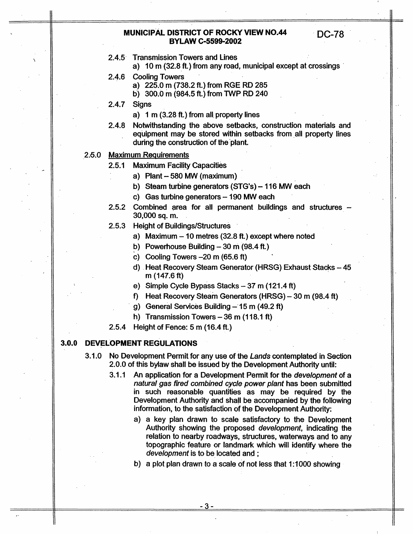- 2.4.5 Transmission Towers and Lines
	- a) 10 m (32.8 ft.) from any road, municipal except at crossings

**DC-78** 

- 2.4.6 Cooling Towers
	- a) 225.0 m (738.2 ft.) from RGE RD 285

b) 300.0 m (984.5 ft.) from TWP RD 240

- 2.4.7 Signs
	- a) 1 m (3.28 ft.) from all property lines
- 2.4.8 Notwithstanding the above setbacks, construction materials and equipment may be stored within setbacks from all property lines during the construction of the'plant.

### 2.5.0 Maximum Requirements

- 2.5.1 Maximum Facility Capacities
	- a) Plant  $-580$  MW (maximum)
	- b) Steam turbine generators (STG's) 116 MW each
	- c) Gas turbine generators  $-190$  MW each
- 2.5.2 Combined area for all permanent buildings and structures -30,000 sq. m.
- 2.5.3 Height of Buildings/Structures
	- a) Maximum  $-10$  metres (32.8 ft.) except where noted
	- b) Powerhouse Building  $-30$  m (98.4 ft.)
	- **c)** Cooling Towers -20 m (65.6 ft)
	- d) Heat Recovery Steam Generator (HRSG) Exhaust Stacks 45 m (147.6 ft)
	- e) Simple Cycle Bypass Stacks 37 m (121.4 ft)
	- f) Heat Recovery Steam Generators (HRSG) 30 m (98.4 ft)
	- g) General Services Building 15 m (49.2 ft)
	- h) Transmission Towers  $-36$  m (118.1 ft)
- 2.5.4 Height of Fence: 5 m (16.4 ft.)

## *3.0.0* **DEVELOPMENT REGULATIONS**

- 3.1 **.O** No Development Permit for any use of the *Lands* contemplated in Section 2.0.0 of this bylaw shall be issued by the Development Authority until:
	- 3.1 .I An application for a Development Permit for the *development* of a *natural gas fired combined cycle power plant* has been submitted in such reasonable quantities as may be required by the Development Authority and shall be accompanied by the following information, to the satisfaction of the Development Authority:
		- a) a key plan drawn to scale satisfactory to the Development Authority showing the proposed *development,* indicating the relation to nearby roadways, structures, waterways and to any topographic feature or landmark which will identify where the *development* is to be located and ;
		- b) a plot plan drawn to a scale of not less that 1:1000 showing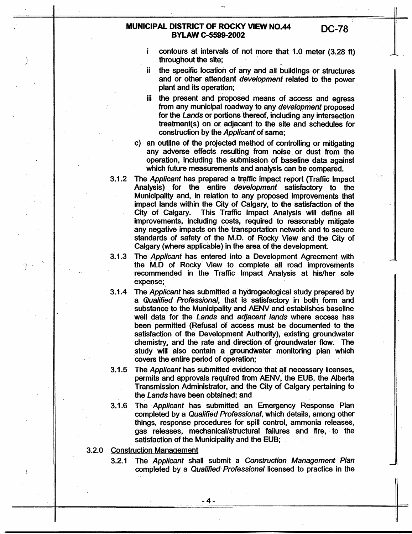-..

*I* **I** 

,

I

- i throughout the site; contours at intervals of not more that 1.0 meter (3,28 ft)
- ii the specific location of any and all buildings or structures and or other attendant *development* related to the power plant and its operation;
- iii the present and proposed means of access and egress from any municipal roadway to any *development* proposed for the *Lands* or portions thereof, including any intersection treatment(s) on or adjacent to the site and schedules for construction by the *Applicant* of same;
- c) an outline of the projected method of controlling or mitigating any adverse effects resulting from noise. or dust from the operation, including the submission of baseline data against which future measurements and analysis can be compared.
- 3.1.2 The *Applicant* has prepared a traffic impact report (Traffic Impact) Analysis) for the entire *development* satisfactory to the Municipality and, in relation to any proposed improvements that impact lands within the City of Calgary, to the satisfaction of the City of Calgary. This Traffic Impact Analysis will define **all**  improvements, including costs, required to reasonably mitigate any negative impacts on the transportation network and to secure standards of safety of the M.D. of Rocky View and the City of Calgary (where' applicable) in the area of the development.
- **3.1.3**  The *Applicant* has entered into a Development Agreement with the M.D of Rocky View to complete all road improvements recommended in the Traffic Impact Analysis at his/her sole expense;
- 3.1.4 The *Applicant* has submitted a hydrogeological study prepared by a *Qualified Professional,* that is satisfactory in both form and substance to the Municipality and AENV and establishes baseline well data for the *Lands* and *adjacent lands* where access has been permitted (Refusal of access must be documented to the satisfaction of the Development Authority), existing groundwater chemistry, and the rate and direction of groundwater flow. The study will also contain a groundwater monitoring plan which covers the entire period of operation;
- 3.1.5 The *Applicant* has submitted evidence that all necessary licenses, permits and approvals required from AENV, the EUB, the Alberta Transmission Administrator, and the City of Calgary pertaining to the *Lands* have been obtained; and
- $3.1.6$ The *Applicant* has submitted an Emergency Response Plan completed by a *Qualified Professional,* which details, among other things, response procedures for spill control, ammonia releases, gas releases, mechanicallstructural failures and fire, to the satisfaction of the Municipality and the EUB;
- **3.2.0** Construction Management
	- 3.2.1 The *Applicant* shall submit a *Construction Management Plan*  completed by a *Qualified Professional* licensed to practice in the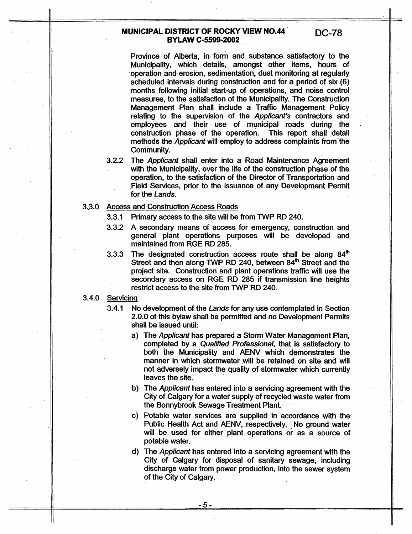**DC-78** 

Province of Alberta, in form and substance satisfactory to the Municipality, which details, amongst other items, hours of operation and erosion, sedimentation, dust monitoring at regularly scheduled intervals during construction and for a period of six (6) months following initial start-up of operations, and noise control measures, to the satisfaction of the Municipality. The Construction Management Plan shall include a Traffic Management Policy relating to the supervision of the *Applicant's* contractors and employees and their use of municipal roads during the construction phase of the operation. This report shall detail methods the *Applicant* will employ to address complaints from the Community.

**3.2.2** The *Applicant* shall enter into a Road Maintenance Agreement with the Municipality, over the life of the construction phase of the operation, to the satisfaction of the Director of Transportation and Field Services, prior to the issuance of any Development Permit for the *Lands.* 

#### **3.3.0** Access and Construction Access Roads

**3.3.1** Primary access to the site will be from TWP RD **240.** 

- **3.3.2** A secondary means of access for emergency, construction and general plant operations purposes will be developed and maintained from RGE RD **285.**
- 3.3.3 The designated construction access route shall be aiong *8@*  Street and then along **TWP** RD **240,** between **84\*** Street and the project site. Construction and plant operations traffic will use the secondary access on RGE RD 285 if transmission line heights restrict access to the site from TWP RD **240.**

## 3.4.0 Servicing

- **3.4.1** No development of the *Lands* for any use contemplated in Section 2.0.0 of this bylaw shall be permitted and no Development Permits shall be issued until:
	- a) The *Applicant* has prepared a Storm Water Management Plan, completed **by** a *Qualified Professional,* that is satisfactory to both the Municipality and AENV which demonstrates the manner in which stormwater will be retained on site and will not adversely impact the quality of stormwater which currently leaves the site.
	- b) The *Applicant* has entered into a servicing agreement with the City of Calgary for a water supply of recycled waste water from the Bonnybrook Sewage Treatment Plant.
	- c) Potable water services are supplied in accordance with the Public Health Act and AENV, respectively. No ground water will be used for either plant operations or as a source of potable water.
	- d) The *Applicant* has entered into a servicing agreement with the City of Calgary for disposal of sanitary sewage, including discharge water from power production, into the sewer system of the City of Calgary.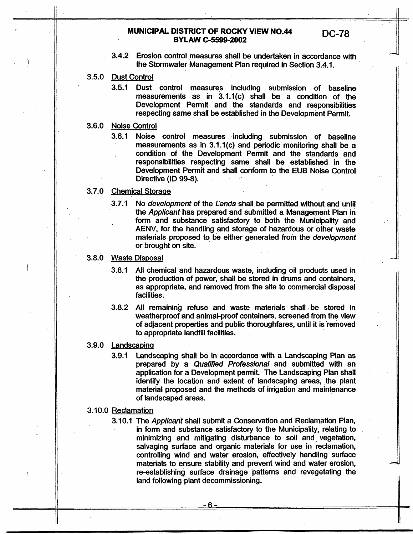- 3.4.2 Erosion control measures shall be undertaken in accordance with the Stormwater Management Plan required in Section **3.4.1.**
- 3.5.0 Dust Control
	- **3.5.1** Dust control measures including submission of baseline measurements as in 3.1.1(c) shall be a condition of the Development Permit and the standards and responsibilities respecting same shall be established in the Development Permit.
- 3.6.0 Noise Control
	- 3.6.1 Noise control measures including submission of baseline measurements as in 3.1.1(c) and periodic monitoring shall be a condition of the Development Permit and the standards and responsibilities respecting same shall be established in the Development Permit and shall conform to **the** EUB Noise Control Directive (ID 99-8).

## **3.7.0** Chemical Storage

- 3.7.1 No *development* of the *Lands* shall be permitted without and until the *Applicant* has prepared and submitted a Management Plan in form and substance satisfactory to both the Municipality and AENV, for the handling and storage of hazardous or other waste materials proposed to be either generated from the *development* or brought on site.
- 3.8.0 Waste Disposal
	- 3.8.1 All chemical and hazardous waste, including oil products used in the production of power, shall be stored in drums and containers, as appropriate, and removed from the site to commercial disposal facilities.
	- **3.8.2** All remaining refuse and waste materials shall be stored in weatherproof and animal-proof containers, screened from the view of adjacent properties and public thoroughfares, until it is 'removed to appropriate landfill facilities.
- **3.9.0 Landscaping** 
	- **3.9.1** Landscaping **shall be** in accordance **with** a Landscaping Plan as prepared by a *Qualified Professional* and submitted with an application for a Development permit. The Landscaping Plan shall identify the location and extent of landscaping areas, the plant material proposed and the methods of irrigation and maintenance of landscaped areas.
- 3.10.0 Reclamation
	- **3.1 0.1 The** *Applicant* shall submit a Conservation and Reclamation Plan, in form and substance satisfactory to the Municipality, relating to minimizing and mitigating disturbance to soil and vegetation, salvaging surface and organic materials for use in reclamation, controlling wind and water erosion, effectively handling surface materials to ensure stability **and** prevent wind and water erosion, re-establishing surface drainage patterns and revegetating the land following-plant decommissioning.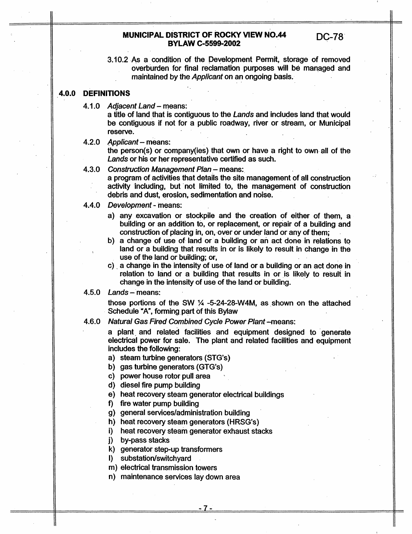3.10.2 As a condition of the Development Permit, storage of removed overburden for final reclamation purposes will be managed and maintained by the *Applicant* on an ongoing basis.

## **4.0.0 DEFINITIONS**

4.1 **.O** *Adjacent Land* - means:

a title of land that is contiguous to the *Lands* and includes land that would be contiguous if not for a public roadway, river or stream, or Municipal reserve.

the person(s) or company(ies) that own **or** have a right to own all of the *Lands* or his or her representative certified as such. 4.2.0 *Applicant* - means:

## 4.3.0 Construction Management Plan - means:

a program of activities that details the site management of all construction activity including, but not limited to, the management of construction debris and dust, erosion, sedimentation and noise.

- 4.4.0 *Development*  means:
	- a) any excavation or stockpile and the creation of either of them, a building or an addition to, or replacement, or repair of a building and construction of placing in, on, over or under land or any of them;
	- **b)** a change of use of land or a building or an act done in relations to land or a building that results in or is likely to result in change in the use of the land or building; or,
	- c) . a change in the intensity of use of land or a building or an act done in relation to land or a building that results in or is likely to result in change in the intensity of use **of** the land or building.

#### 4.5.0 *Lands* - means:

those portions of the SW % -5-24-28-W4M, as shown on the attached Schedule "A", forming part of this Bylaw

4.6.0 *Natural* Gas *Fired Combined Cycle Power Plant* -means:

a plant. and related facilities and equipment designed to generate electrical power for sale. The plant and related facilities and equipment includes the following:

a) steam turbine generators (STG's)

b) gas turbine generators (GTG's)

c) power house rotor pull area

d) diesel fire pump building

e) heat recovery steam generator electrical buildings

f) fire water pump building

g) general services/administration building

h) heat recovery steam generators (HRSG's)

i) heat recovery steam generator exhaust stacks

**j)** by-pass stacks

**k)** generator step-up transformers

I) substation/switch yard

m) electrical transmission towers

n) maintenance services lay down area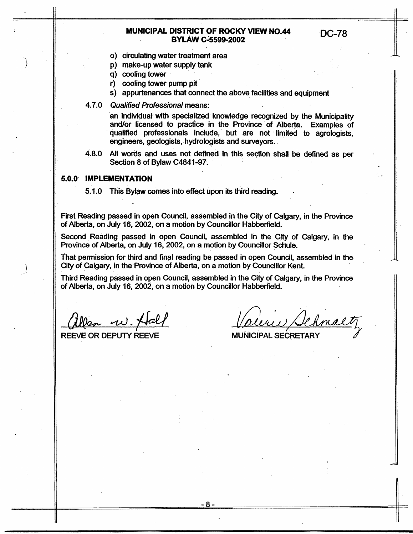- *0)* circulating water treatment area
- p) make-up water supply tank
- q) cooling tower
- r) cooling tower pump pit
- s) appurtenances that connect the above facilities and equipment
- 4.7.0 *Qualified* Professional means:

an individual' with specialized knowledge recognized by the Municipality and/or licensed to practice in the Province of Alberta. Examples of qualified professionals include, but are not limited to agrologists, engineers, geologists, hydrologists and surveyors.

4.8.0 **All** words and uses not defined in this section shall be defined as per Section 8 of Bylaw c4841-97.

## **5.0.0 IMPLEMENTATION**

5.1 **.O** This Bylaw **comes** into effect upon its third reading.

First Reading passed in **open** Council, assembled in the City of Calgary, in the Province of Alberta, on July 16, 2002, on a motion by Councillor Habberfield.

Second Reading passed in open Council, assembled in the City of Calgary, in the Province of Alberta, on July 16, 2002, on a motion by Councillor Schule.

That permission for third and final reading be passed in open Council, assembled in the City of Calgary, in the Province of Alberta, on a motion by Councillor Kent.

Third Reading passed in open Council, assembled in the City of Calgary, in the Province of Alberta, on July 16, 2002, on a motion by Councillor Habberfield.

**REEVE OR DEPUTY REEVE MUNICIPAL SECRETARY** 

chmalt